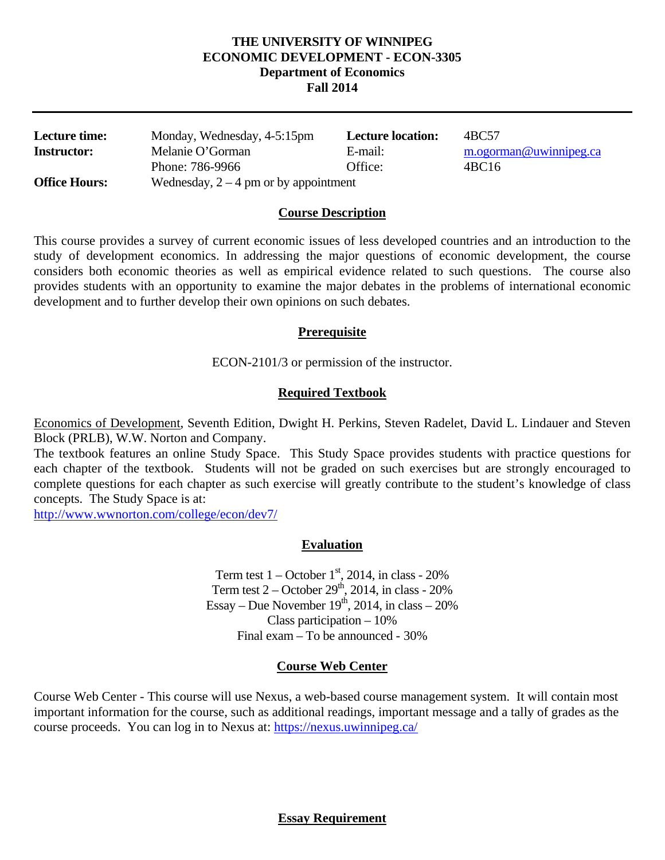## **THE UNIVERSITY OF WINNIPEG ECONOMIC DEVELOPMENT - ECON-3305 Department of Economics Fall 2014**

| Lecture time:        | Monday, Wednesday, 4-5:15pm             | <b>Lecture location:</b> | 4BC57                  |
|----------------------|-----------------------------------------|--------------------------|------------------------|
| <b>Instructor:</b>   | Melanie O'Gorman                        | E-mail:                  | m.ogorman@uwinnipeg.ca |
|                      | Phone: 786-9966                         | Office:                  | 4BC16                  |
| <b>Office Hours:</b> | Wednesday, $2 - 4$ pm or by appointment |                          |                        |

#### **Course Description**

This course provides a survey of current economic issues of less developed countries and an introduction to the study of development economics. In addressing the major questions of economic development, the course considers both economic theories as well as empirical evidence related to such questions. The course also provides students with an opportunity to examine the major debates in the problems of international economic development and to further develop their own opinions on such debates.

#### **Prerequisite**

ECON-2101/3 or permission of the instructor.

## **Required Textbook**

Economics of Development, Seventh Edition, Dwight H. Perkins, Steven Radelet, David L. Lindauer and Steven Block (PRLB), W.W. Norton and Company.

The textbook features an online Study Space. This Study Space provides students with practice questions for each chapter of the textbook. Students will not be graded on such exercises but are strongly encouraged to complete questions for each chapter as such exercise will greatly contribute to the student's knowledge of class concepts. The Study Space is at:

http://www.wwnorton.com/college/econ/dev7/

## **Evaluation**

Term test  $1 -$ October  $1<sup>st</sup>$ , 2014, in class - 20% Term test  $2 -$ October  $29<sup>th</sup>$ ,  $2014$ , in class -  $20\%$ Essay – Due November  $19<sup>th</sup>$ , 2014, in class –  $20\%$ Class participation – 10% Final exam – To be announced - 30%

## **Course Web Center**

Course Web Center - This course will use Nexus, a web-based course management system. It will contain most important information for the course, such as additional readings, important message and a tally of grades as the course proceeds. You can log in to Nexus at: https://nexus.uwinnipeg.ca/

## **Essay Requirement**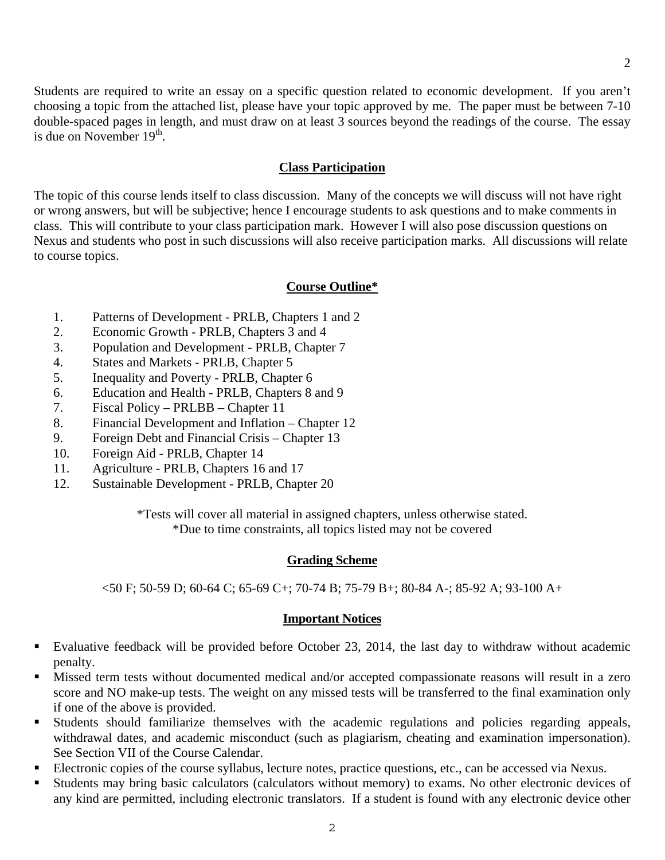Students are required to write an essay on a specific question related to economic development. If you aren't choosing a topic from the attached list, please have your topic approved by me. The paper must be between 7-10 double-spaced pages in length, and must draw on at least 3 sources beyond the readings of the course. The essay is due on November  $19<sup>th</sup>$ .

# **Class Participation**

The topic of this course lends itself to class discussion. Many of the concepts we will discuss will not have right or wrong answers, but will be subjective; hence I encourage students to ask questions and to make comments in class. This will contribute to your class participation mark. However I will also pose discussion questions on Nexus and students who post in such discussions will also receive participation marks. All discussions will relate to course topics.

## **Course Outline\***

- 1. Patterns of Development PRLB, Chapters 1 and 2
- 2. Economic Growth PRLB, Chapters 3 and 4
- 3. Population and Development PRLB, Chapter 7
- 4. States and Markets PRLB, Chapter 5
- 5. Inequality and Poverty PRLB, Chapter 6
- 6. Education and Health PRLB, Chapters 8 and 9
- 7. Fiscal Policy PRLBB Chapter 11
- 8. Financial Development and Inflation Chapter 12
- 9. Foreign Debt and Financial Crisis Chapter 13
- 10. Foreign Aid PRLB, Chapter 14
- 11. Agriculture PRLB, Chapters 16 and 17
- 12. Sustainable Development PRLB, Chapter 20

\*Tests will cover all material in assigned chapters, unless otherwise stated. \*Due to time constraints, all topics listed may not be covered

## **Grading Scheme**

<50 F; 50-59 D; 60-64 C; 65-69 C+; 70-74 B; 75-79 B+; 80-84 A-; 85-92 A; 93-100 A+

## **Important Notices**

- Evaluative feedback will be provided before October 23, 2014, the last day to withdraw without academic penalty.
- Missed term tests without documented medical and/or accepted compassionate reasons will result in a zero score and NO make-up tests. The weight on any missed tests will be transferred to the final examination only if one of the above is provided.
- Students should familiarize themselves with the academic regulations and policies regarding appeals, withdrawal dates, and academic misconduct (such as plagiarism, cheating and examination impersonation). See Section VII of the Course Calendar.
- Electronic copies of the course syllabus, lecture notes, practice questions, etc., can be accessed via Nexus.
- Students may bring basic calculators (calculators without memory) to exams. No other electronic devices of any kind are permitted, including electronic translators. If a student is found with any electronic device other